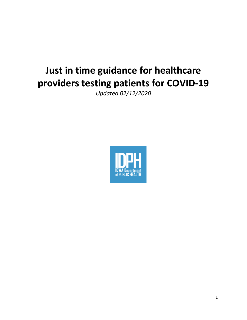# **Just in time guidance for healthcare providers testing patients for COVID-19**

*Updated 02/12/2020*

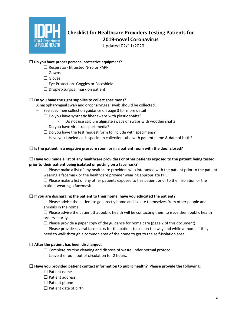

# **Checklist for Healthcare Providers Testing Patients for 2019-novel Coronavirus**

Updated 02/11/2020

### ☐ **Do you have proper personal protective equipment?**

- ☐ Respirator- fit tested N-95 or PAPR
- ☐ Gowns
- □ Gloves
- ☐ Eye Protection- Goggles or Faceshield
- $\Box$  Droplet/surgical mask on patient

# ☐ **Do you have the right supplies to collect specimens?**

A nasopharyngeal swab and oropharyngeal swab should be collected.

- See specimen collection guidance on page 3 for more detail
- $\Box$  Do you have synthetic fiber swabs with plastic shafts?
	- Do not use calcium alginate swabs or swabs with wooden shafts.
- $\Box$  Do you have viral transport media?
- $\Box$  Do you have the test request form to include with specimens?
- $\Box$  Have you labeled each specimen collection tube with patient name & date of birth?

#### ☐ **Is the patient in a negative pressure room or in a patient room with the door closed?**

#### ☐ **Have you made a list of any healthcare providers or other patients exposed to the patient being tested prior to their patient being isolated or putting on a facemask?**

 $\Box$  Please make a list of any healthcare providers who interacted with the patient prior to the patient wearing a facemask or the healthcare provider wearing appropriate PPE.

 $\Box$  Please make a list of any other patients exposed to this patient prior to their isolation or the patient wearing a facemask.

#### ☐ **If you are discharging the patient to their home, have you educated the patient?**

 $\Box$  Please advise the patient to go directly home and isolate themselves from other people and animals in the home.

 $\Box$  Please advise the patient that public health will be contacting them to issue them public health orders shortly.

 $\Box$  Please provide a paper copy of the guidance for home care (page 2 of this document).

 $\Box$  Please provide several facemasks for the patient to use on the way and while at home if they need to walk through a common area of the home to get to the self-isolation area.

#### ☐ **After the patient has been discharged:**

 $\Box$  Complete routine cleaning and dispose of waste under normal protocol.

 $\Box$  Leave the room out of circulation for 2 hours.

#### ☐ **Have you provided patient contact information to public health? Please provide the following:**

☐ Patient name

- ☐ Patient address
- $\square$  Patient phone
- $\Box$  Patient date of birth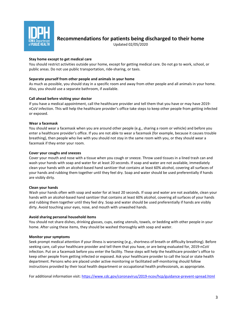

**Recommendations for patients being discharged to their home**

Updated 02/05/2020

#### **Stay home except to get medical care**

You should restrict activities outside your home, except for getting medical care. Do not go to work, school, or public areas. Do not use public transportation, ride-sharing, or taxis.

#### **Separate yourself from other people and animals in your home**

As much as possible, you should stay in a specific room and away from other people and all animals in your home. Also, you should use a separate bathroom, if available.

#### **Call ahead before visiting your doctor**

If you have a medical appointment, call the healthcare provider and tell them that you have or may have 2019 nCoV infection. This will help the healthcare provider's office take steps to keep other people from getting infected or exposed.

#### **Wear a facemask**

You should wear a facemask when you are around other people (e.g., sharing a room or vehicle) and before you enter a healthcare provider's office. If you are not able to wear a facemask (for example, because it causes trouble breathing), then people who live with you should not stay in the same room with you, or they should wear a facemask if they enter your room.

#### **Cover your coughs and sneezes**

Cover your mouth and nose with a tissue when you cough or sneeze. Throw used tissues in a lined trash can and wash your hands with soap and water for at least 20 seconds. If soap and water are not available, immediately clean your hands with an alcohol-based hand sanitizer that contains at least 60% alcohol, covering all surfaces of your hands and rubbing them together until they feel dry. Soap and water should be used preferentially if hands are visibly dirty.

#### **Clean your hands**

Wash your hands often with soap and water for at least 20 seconds. If soap and water are not available, clean your hands with an alcohol-based hand sanitizer that contains at least 60% alcohol, covering all surfaces of your hands and rubbing them together until they feel dry. Soap and water should be used preferentially if hands are visibly dirty. Avoid touching your eyes, nose, and mouth with unwashed hands.

#### **Avoid sharing personal household items**

You should not share dishes, drinking glasses, cups, eating utensils, towels, or bedding with other people in your home. After using these items, they should be washed thoroughly with soap and water.

#### **Monitor your symptoms**

Seek prompt medical attention if your illness is worsening (e.g., shortness of breath or difficulty breathing). Before seeking care, call your healthcare provider and tell them that you have, or are being evaluated for, 2019-nCoV infection. Put on a facemask before you enter the facility. These steps will help the healthcare provider's office to keep other people from getting infected or exposed. Ask your healthcare provider to call the local or state health department. Persons who are placed under active monitoring or facilitated self-monitoring should follow instructions provided by their local health department or occupational health professionals, as appropriate.

For additional information visit[: https://www.cdc.gov/coronavirus/2019-ncov/hcp/guidance-prevent-spread.html](https://www.cdc.gov/coronavirus/2019-ncov/hcp/guidance-prevent-spread.html)